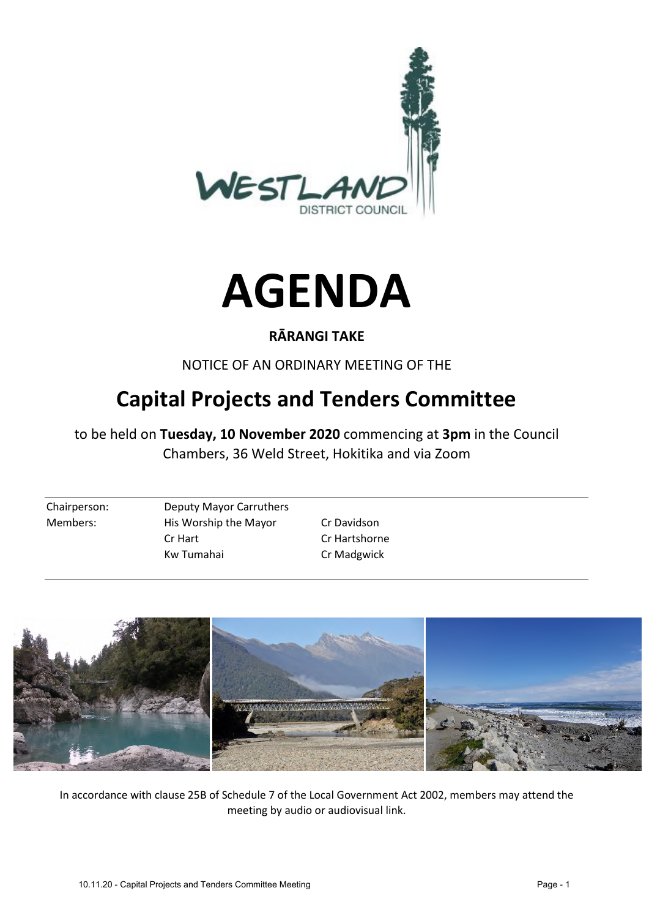



## **RĀRANGI TAKE**

NOTICE OF AN ORDINARY MEETING OF THE

# **Capital Projects and Tenders Committee**

to be held on **Tuesday, 10 November 2020** commencing at **3pm** in the Council Chambers, 36 Weld Street, Hokitika and via Zoom

Chairperson: Deputy Mayor Carruthers Members: His Worship the Mayor Cr Davidson Cr Hart Cr Hartshorne Kw Tumahai Cr Madgwick



In accordance with clause 25B of Schedule 7 of the Local Government Act 2002, members may attend the meeting by audio or audiovisual link.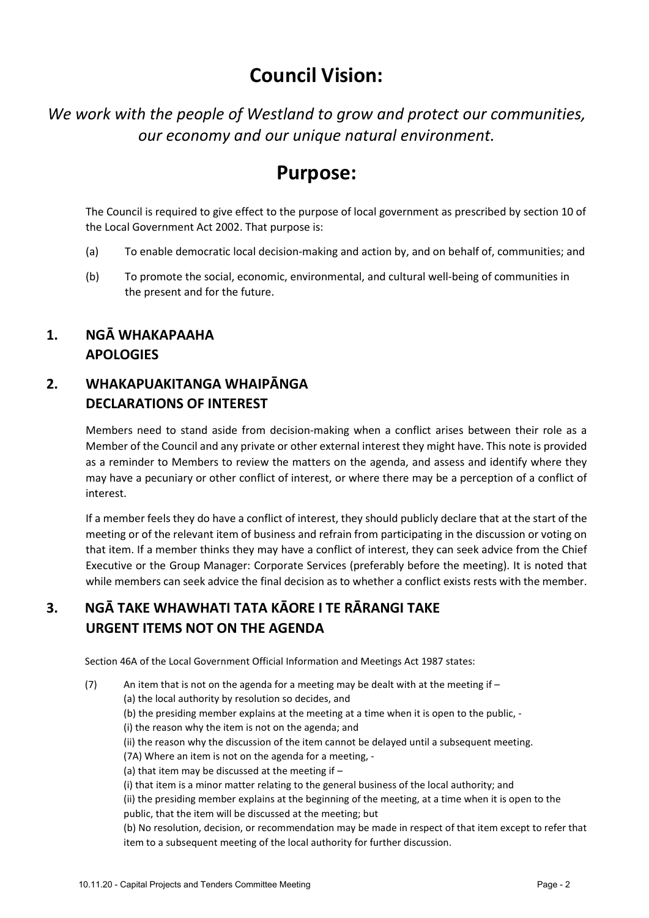## **Council Vision:**

*We work with the people of Westland to grow and protect our communities, our economy and our unique natural environment.* 

## **Purpose:**

The Council is required to give effect to the purpose of local government as prescribed by section 10 of the Local Government Act 2002. That purpose is:

- (a) To enable democratic local decision-making and action by, and on behalf of, communities; and
- (b) To promote the social, economic, environmental, and cultural well-being of communities in the present and for the future.

## **1. NGĀ WHAKAPAAHA APOLOGIES**

## **2. WHAKAPUAKITANGA WHAIPĀNGA DECLARATIONS OF INTEREST**

Members need to stand aside from decision-making when a conflict arises between their role as a Member of the Council and any private or other external interest they might have. This note is provided as a reminder to Members to review the matters on the agenda, and assess and identify where they may have a pecuniary or other conflict of interest, or where there may be a perception of a conflict of interest.

If a member feels they do have a conflict of interest, they should publicly declare that at the start of the meeting or of the relevant item of business and refrain from participating in the discussion or voting on that item. If a member thinks they may have a conflict of interest, they can seek advice from the Chief Executive or the Group Manager: Corporate Services (preferably before the meeting). It is noted that while members can seek advice the final decision as to whether a conflict exists rests with the member.

## **3. NGĀ TAKE WHAWHATI TATA KĀORE I TE RĀRANGI TAKE URGENT ITEMS NOT ON THE AGENDA**

Section 46A of the Local Government Official Information and Meetings Act 1987 states:

(7) An item that is not on the agenda for a meeting may be dealt with at the meeting if  $-$ (a) the local authority by resolution so decides, and (b) the presiding member explains at the meeting at a time when it is open to the public, - (i) the reason why the item is not on the agenda; and (ii) the reason why the discussion of the item cannot be delayed until a subsequent meeting. (7A) Where an item is not on the agenda for a meeting, - (a) that item may be discussed at the meeting if – (i) that item is a minor matter relating to the general business of the local authority; and (ii) the presiding member explains at the beginning of the meeting, at a time when it is open to the public, that the item will be discussed at the meeting; but (b) No resolution, decision, or recommendation may be made in respect of that item except to refer that item to a subsequent meeting of the local authority for further discussion.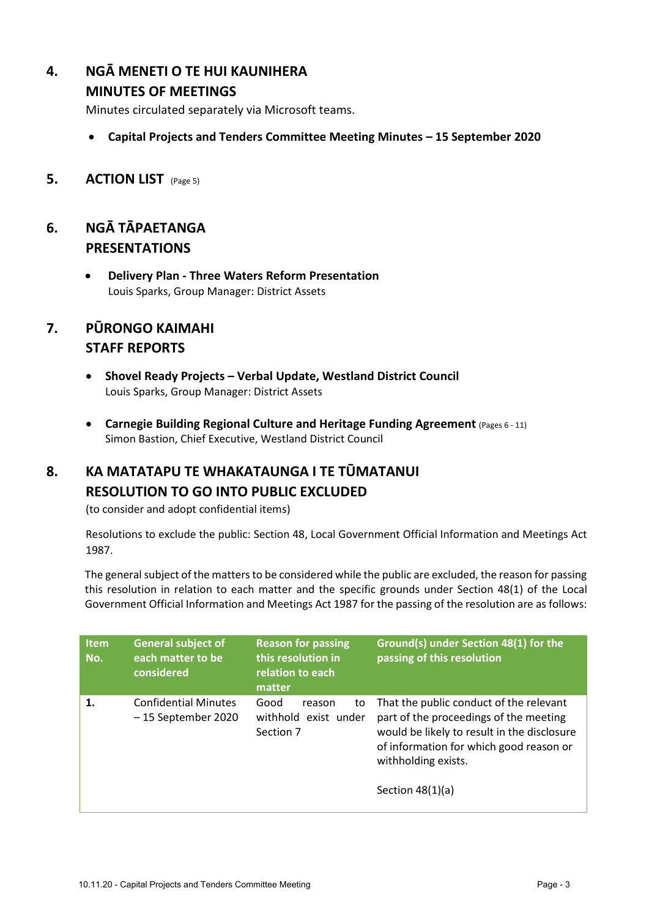## **4. NGĀ MENETI O TE HUI KAUNIHERA**

## **MINUTES OF MEETINGS**

Minutes circulated separately via Microsoft teams.

- **Capital Projects and Tenders Committee Meeting Minutes 15 September 2020**
- **5. ACTION LIST** (Page <sup>5</sup>)

## **6. NGĀ TĀPAETANGA PRESENTATIONS**

 **Delivery Plan - Three Waters Reform Presentation** Louis Sparks, Group Manager: District Assets

## **7. PŪRONGO KAIMAHI STAFF REPORTS**

- **Shovel Ready Projects – Verbal Update, Westland District Council** Louis Sparks, Group Manager: District Assets
- **Carnegie Building Regional Culture and Heritage Funding Agreement** (Pages <sup>6</sup> ‐ <sup>11</sup>) Simon Bastion, Chief Executive, Westland District Council

## **8. KA MATATAPU TE WHAKATAUNGA I TE TŪMATANUI RESOLUTION TO GO INTO PUBLIC EXCLUDED**

(to consider and adopt confidential items)

Resolutions to exclude the public: Section 48, Local Government Official Information and Meetings Act 1987.

The general subject of the matters to be considered while the public are excluded, the reason for passing this resolution in relation to each matter and the specific grounds under Section 48(1) of the Local Government Official Information and Meetings Act 1987 for the passing of the resolution are as follows:

| <b>Item</b><br>No. | <b>General subject of</b><br>each matter to be<br>considered | <b>Reason for passing</b><br>this resolution in<br>relation to each<br>matter | Ground(s) under Section 48(1) for the<br>passing of this resolution                                                                                                                                                      |
|--------------------|--------------------------------------------------------------|-------------------------------------------------------------------------------|--------------------------------------------------------------------------------------------------------------------------------------------------------------------------------------------------------------------------|
| 1.                 | <b>Confidential Minutes</b><br>-15 September 2020            | Good<br>to<br>reason<br>withhold exist under<br>Section 7                     | That the public conduct of the relevant<br>part of the proceedings of the meeting<br>would be likely to result in the disclosure<br>of information for which good reason or<br>withholding exists.<br>Section $48(1)(a)$ |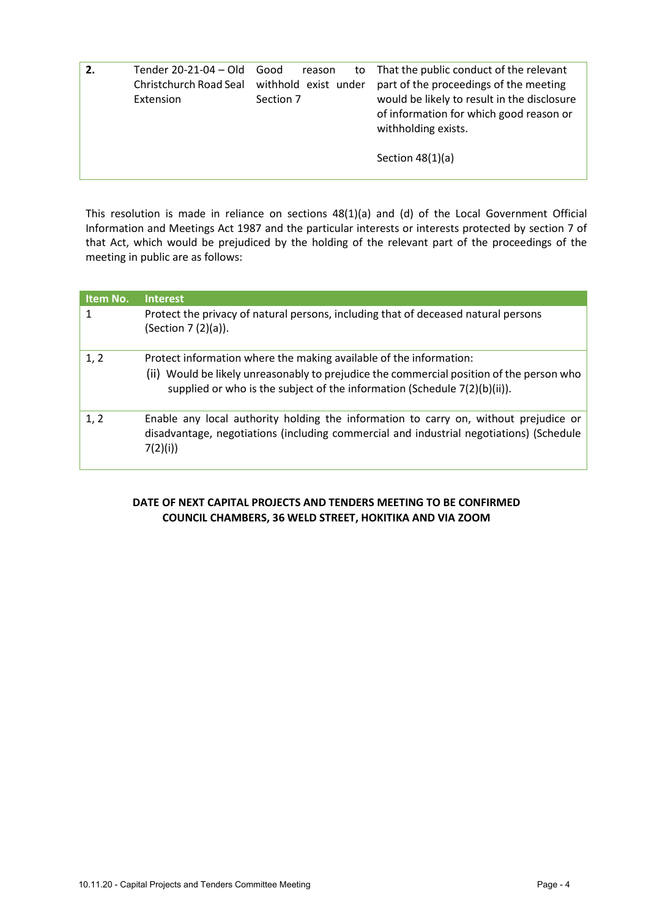| 2. | Tender 20-21-04 - Old<br>Christchurch Road Seal<br>Extension | Good<br>reason<br>to<br>withhold exist under<br>Section 7 | That the public conduct of the relevant<br>part of the proceedings of the meeting<br>would be likely to result in the disclosure<br>of information for which good reason or<br>withholding exists.<br>Section $48(1)(a)$ |
|----|--------------------------------------------------------------|-----------------------------------------------------------|--------------------------------------------------------------------------------------------------------------------------------------------------------------------------------------------------------------------------|
|    |                                                              |                                                           |                                                                                                                                                                                                                          |

This resolution is made in reliance on sections 48(1)(a) and (d) of the Local Government Official Information and Meetings Act 1987 and the particular interests or interests protected by section 7 of that Act, which would be prejudiced by the holding of the relevant part of the proceedings of the meeting in public are as follows:

| Item No. | <b>Interest</b>                                                                                                                                                                                                                                |
|----------|------------------------------------------------------------------------------------------------------------------------------------------------------------------------------------------------------------------------------------------------|
|          | Protect the privacy of natural persons, including that of deceased natural persons<br>(Section 7 (2)(a)).                                                                                                                                      |
| 1, 2     | Protect information where the making available of the information:<br>(ii) Would be likely unreasonably to prejudice the commercial position of the person who<br>supplied or who is the subject of the information (Schedule $7(2)(b)(ii)$ ). |
| 1, 2     | Enable any local authority holding the information to carry on, without prejudice or<br>disadvantage, negotiations (including commercial and industrial negotiations) (Schedule<br>7(2)(i)                                                     |

#### **DATE OF NEXT CAPITAL PROJECTS AND TENDERS MEETING TO BE CONFIRMED COUNCIL CHAMBERS, 36 WELD STREET, HOKITIKA AND VIA ZOOM**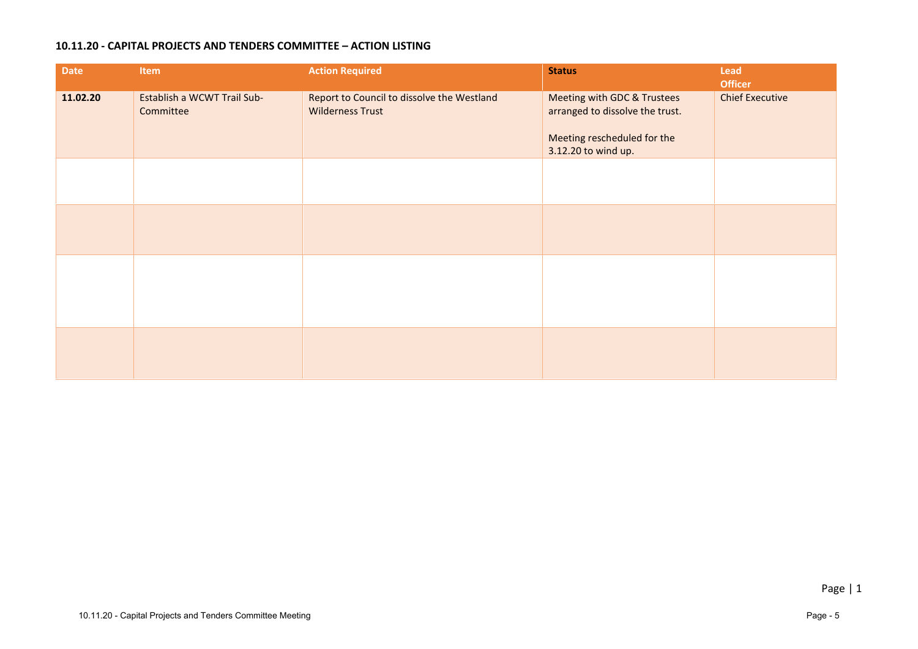#### **10.11.20 - CAPITAL PROJECTS AND TENDERS COMMITTEE – ACTION LISTING**

| <b>Date</b> | <b>Item</b>                              | <b>Action Required</b>                                                | <b>Status</b>                                                                                                        | Lead<br><b>Officer</b> |
|-------------|------------------------------------------|-----------------------------------------------------------------------|----------------------------------------------------------------------------------------------------------------------|------------------------|
| 11.02.20    | Establish a WCWT Trail Sub-<br>Committee | Report to Council to dissolve the Westland<br><b>Wilderness Trust</b> | Meeting with GDC & Trustees<br>arranged to dissolve the trust.<br>Meeting rescheduled for the<br>3.12.20 to wind up. | <b>Chief Executive</b> |
|             |                                          |                                                                       |                                                                                                                      |                        |
|             |                                          |                                                                       |                                                                                                                      |                        |
|             |                                          |                                                                       |                                                                                                                      |                        |
|             |                                          |                                                                       |                                                                                                                      |                        |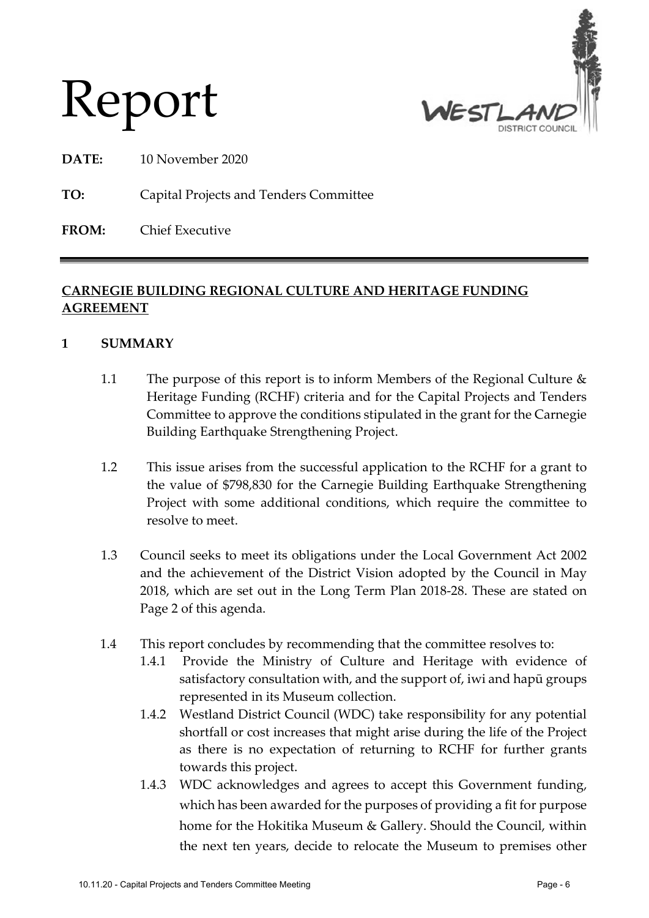



**DATE:** 10 November 2020

**TO:** Capital Projects and Tenders Committee

**FROM:** Chief Executive

## **CARNEGIE BUILDING REGIONAL CULTURE AND HERITAGE FUNDING AGREEMENT**

#### **1 SUMMARY**

- 1.1 The purpose of this report is to inform Members of the Regional Culture & Heritage Funding (RCHF) criteria and for the Capital Projects and Tenders Committee to approve the conditions stipulated in the grant for the Carnegie Building Earthquake Strengthening Project.
- 1.2 This issue arises from the successful application to the RCHF for a grant to the value of \$798,830 for the Carnegie Building Earthquake Strengthening Project with some additional conditions, which require the committee to resolve to meet.
- 1.3 Council seeks to meet its obligations under the Local Government Act 2002 and the achievement of the District Vision adopted by the Council in May 2018, which are set out in the Long Term Plan 2018-28. These are stated on Page 2 of this agenda.
- 1.4 This report concludes by recommending that the committee resolves to:
	- 1.4.1 Provide the Ministry of Culture and Heritage with evidence of satisfactory consultation with, and the support of, iwi and hapū groups represented in its Museum collection.
	- 1.4.2 Westland District Council (WDC) take responsibility for any potential shortfall or cost increases that might arise during the life of the Project as there is no expectation of returning to RCHF for further grants towards this project.
	- 1.4.3 WDC acknowledges and agrees to accept this Government funding, which has been awarded for the purposes of providing a fit for purpose home for the Hokitika Museum & Gallery. Should the Council, within the next ten years, decide to relocate the Museum to premises other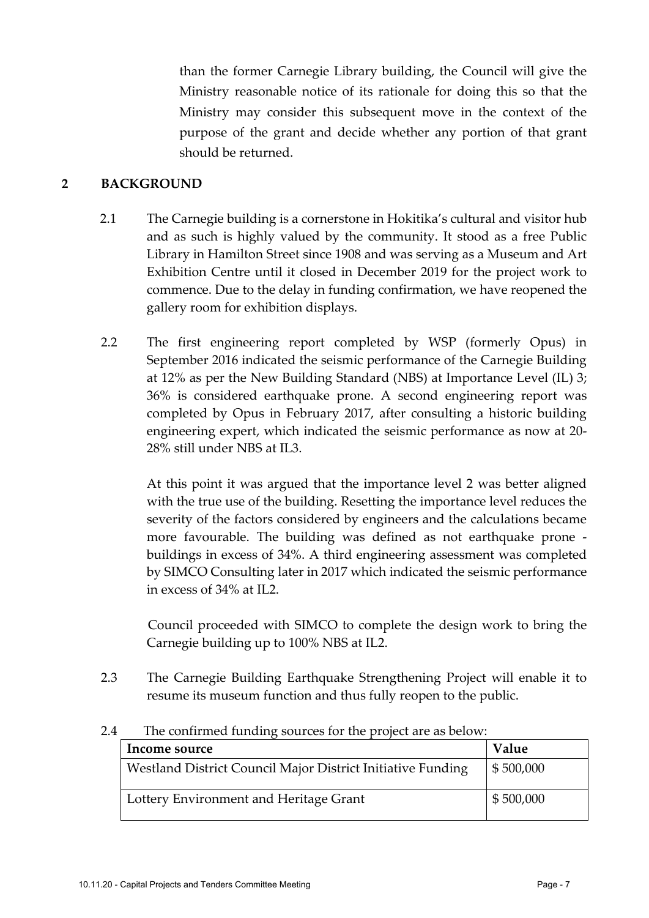than the former Carnegie Library building, the Council will give the Ministry reasonable notice of its rationale for doing this so that the Ministry may consider this subsequent move in the context of the purpose of the grant and decide whether any portion of that grant should be returned.

#### **2 BACKGROUND**

- 2.1 The Carnegie building is a cornerstone in Hokitika's cultural and visitor hub and as such is highly valued by the community. It stood as a free Public Library in Hamilton Street since 1908 and was serving as a Museum and Art Exhibition Centre until it closed in December 2019 for the project work to commence. Due to the delay in funding confirmation, we have reopened the gallery room for exhibition displays.
- 2.2 The first engineering report completed by WSP (formerly Opus) in September 2016 indicated the seismic performance of the Carnegie Building at 12% as per the New Building Standard (NBS) at Importance Level (IL) 3; 36% is considered earthquake prone. A second engineering report was completed by Opus in February 2017, after consulting a historic building engineering expert, which indicated the seismic performance as now at 20- 28% still under NBS at IL3.

At this point it was argued that the importance level 2 was better aligned with the true use of the building. Resetting the importance level reduces the severity of the factors considered by engineers and the calculations became more favourable. The building was defined as not earthquake prone buildings in excess of 34%. A third engineering assessment was completed by SIMCO Consulting later in 2017 which indicated the seismic performance in excess of 34% at IL2.

Council proceeded with SIMCO to complete the design work to bring the Carnegie building up to 100% NBS at IL2.

2.3 The Carnegie Building Earthquake Strengthening Project will enable it to resume its museum function and thus fully reopen to the public.

| . . T | The committed funding sources for the project are as below. |           |  |
|-------|-------------------------------------------------------------|-----------|--|
|       | Income source                                               | Value     |  |
|       | Westland District Council Major District Initiative Funding | \$500,000 |  |
|       | Lottery Environment and Heritage Grant                      | \$500,000 |  |

#### 2.4 The confirmed funding sources for the project are as below: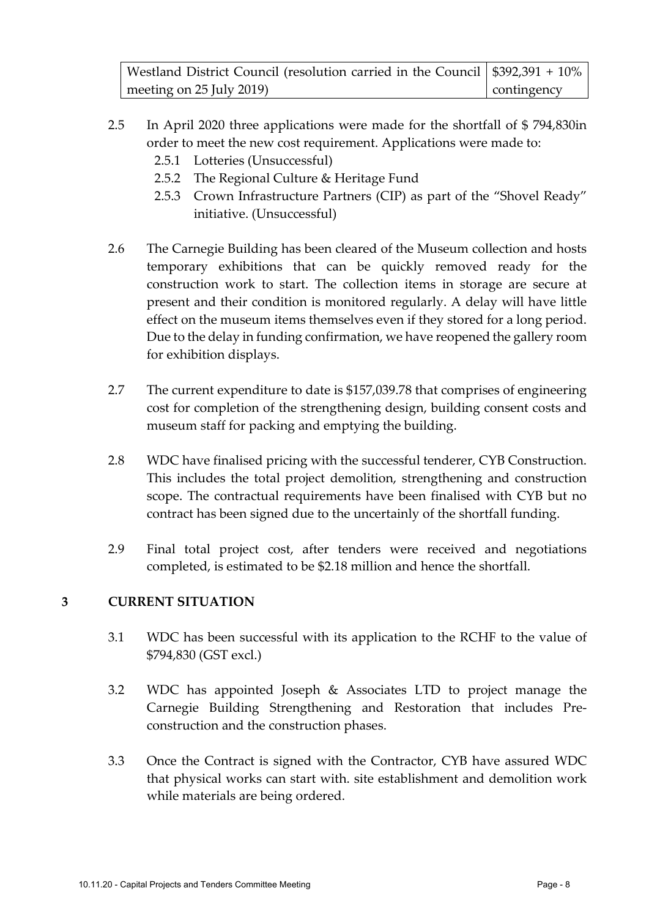| Westland District Council (resolution carried in the Council $\frac{1}{392,391} + 10\%$ |             |
|-----------------------------------------------------------------------------------------|-------------|
| meeting on 25 July 2019)                                                                | contingency |

- 2.5 In April 2020 three applications were made for the shortfall of \$ 794,830in order to meet the new cost requirement. Applications were made to:
	- 2.5.1 Lotteries (Unsuccessful)
	- 2.5.2 The Regional Culture & Heritage Fund
	- 2.5.3 Crown Infrastructure Partners (CIP) as part of the "Shovel Ready" initiative. (Unsuccessful)
- 2.6 The Carnegie Building has been cleared of the Museum collection and hosts temporary exhibitions that can be quickly removed ready for the construction work to start. The collection items in storage are secure at present and their condition is monitored regularly. A delay will have little effect on the museum items themselves even if they stored for a long period. Due to the delay in funding confirmation, we have reopened the gallery room for exhibition displays.
- 2.7 The current expenditure to date is \$157,039.78 that comprises of engineering cost for completion of the strengthening design, building consent costs and museum staff for packing and emptying the building.
- 2.8 WDC have finalised pricing with the successful tenderer, CYB Construction. This includes the total project demolition, strengthening and construction scope. The contractual requirements have been finalised with CYB but no contract has been signed due to the uncertainly of the shortfall funding.
- 2.9 Final total project cost, after tenders were received and negotiations completed, is estimated to be \$2.18 million and hence the shortfall.

## **3 CURRENT SITUATION**

- 3.1 WDC has been successful with its application to the RCHF to the value of \$794,830 (GST excl.)
- 3.2 WDC has appointed Joseph & Associates LTD to project manage the Carnegie Building Strengthening and Restoration that includes Preconstruction and the construction phases.
- 3.3 Once the Contract is signed with the Contractor, CYB have assured WDC that physical works can start with. site establishment and demolition work while materials are being ordered.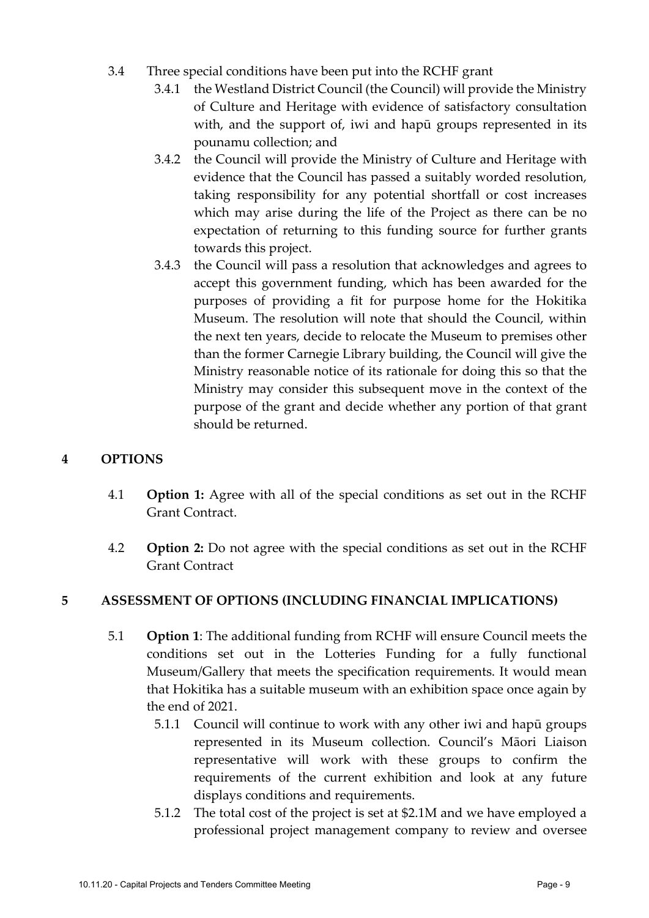- 3.4 Three special conditions have been put into the RCHF grant
	- 3.4.1 the Westland District Council (the Council) will provide the Ministry of Culture and Heritage with evidence of satisfactory consultation with, and the support of, iwi and hapū groups represented in its pounamu collection; and
	- 3.4.2 the Council will provide the Ministry of Culture and Heritage with evidence that the Council has passed a suitably worded resolution, taking responsibility for any potential shortfall or cost increases which may arise during the life of the Project as there can be no expectation of returning to this funding source for further grants towards this project.
	- 3.4.3 the Council will pass a resolution that acknowledges and agrees to accept this government funding, which has been awarded for the purposes of providing a fit for purpose home for the Hokitika Museum. The resolution will note that should the Council, within the next ten years, decide to relocate the Museum to premises other than the former Carnegie Library building, the Council will give the Ministry reasonable notice of its rationale for doing this so that the Ministry may consider this subsequent move in the context of the purpose of the grant and decide whether any portion of that grant should be returned.

## **4 OPTIONS**

- 4.1 **Option 1:** Agree with all of the special conditions as set out in the RCHF Grant Contract.
- 4.2 **Option 2:** Do not agree with the special conditions as set out in the RCHF Grant Contract

## **5 ASSESSMENT OF OPTIONS (INCLUDING FINANCIAL IMPLICATIONS)**

- 5.1 **Option 1**: The additional funding from RCHF will ensure Council meets the conditions set out in the Lotteries Funding for a fully functional Museum/Gallery that meets the specification requirements. It would mean that Hokitika has a suitable museum with an exhibition space once again by the end of 2021.
	- 5.1.1 Council will continue to work with any other iwi and hapū groups represented in its Museum collection. Council's Māori Liaison representative will work with these groups to confirm the requirements of the current exhibition and look at any future displays conditions and requirements.
	- 5.1.2 The total cost of the project is set at \$2.1M and we have employed a professional project management company to review and oversee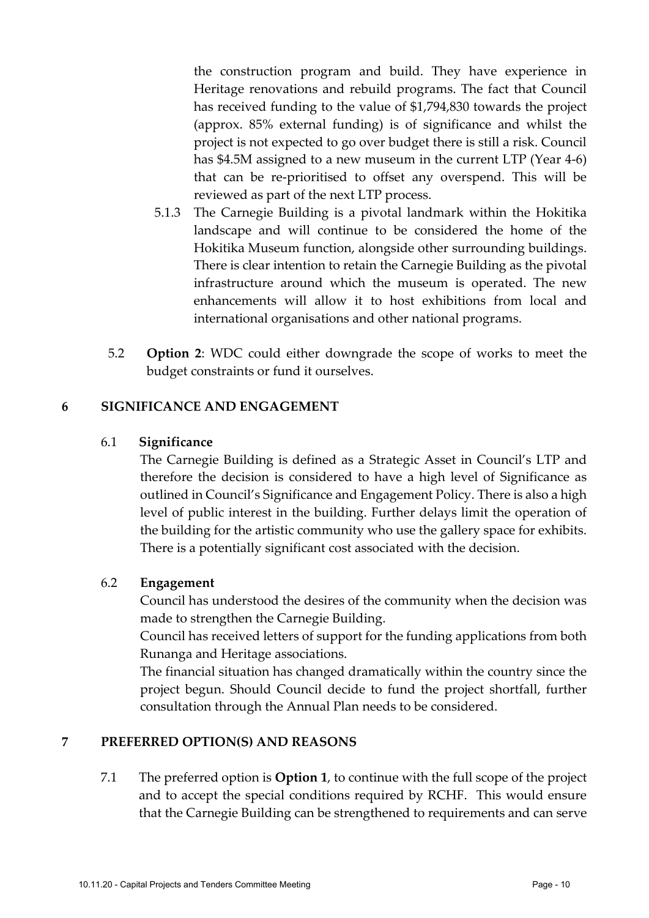the construction program and build. They have experience in Heritage renovations and rebuild programs. The fact that Council has received funding to the value of \$1,794,830 towards the project (approx. 85% external funding) is of significance and whilst the project is not expected to go over budget there is still a risk. Council has \$4.5M assigned to a new museum in the current LTP (Year 4-6) that can be re-prioritised to offset any overspend. This will be reviewed as part of the next LTP process.

- 5.1.3 The Carnegie Building is a pivotal landmark within the Hokitika landscape and will continue to be considered the home of the Hokitika Museum function, alongside other surrounding buildings. There is clear intention to retain the Carnegie Building as the pivotal infrastructure around which the museum is operated. The new enhancements will allow it to host exhibitions from local and international organisations and other national programs.
- 5.2 **Option 2**: WDC could either downgrade the scope of works to meet the budget constraints or fund it ourselves.

#### **6 SIGNIFICANCE AND ENGAGEMENT**

#### 6.1 **Significance**

The Carnegie Building is defined as a Strategic Asset in Council's LTP and therefore the decision is considered to have a high level of Significance as outlined in Council's Significance and Engagement Policy. There is also a high level of public interest in the building. Further delays limit the operation of the building for the artistic community who use the gallery space for exhibits. There is a potentially significant cost associated with the decision.

## 6.2 **Engagement**

Council has understood the desires of the community when the decision was made to strengthen the Carnegie Building.

Council has received letters of support for the funding applications from both Runanga and Heritage associations.

The financial situation has changed dramatically within the country since the project begun. Should Council decide to fund the project shortfall, further consultation through the Annual Plan needs to be considered.

## **7 PREFERRED OPTION(S) AND REASONS**

7.1 The preferred option is **Option 1**, to continue with the full scope of the project and to accept the special conditions required by RCHF. This would ensure that the Carnegie Building can be strengthened to requirements and can serve